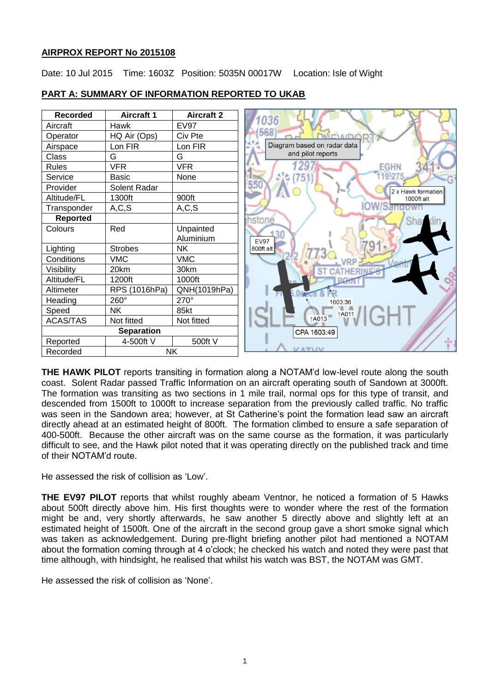### **AIRPROX REPORT No 2015108**

Date: 10 Jul 2015 Time: 1603Z Position: 5035N 00017W Location: Isle of Wight

| <b>Recorded</b>   | <b>Aircraft 1</b> | <b>Aircraft 2</b> | 036                         |
|-------------------|-------------------|-------------------|-----------------------------|
| Aircraft          | <b>Hawk</b>       | <b>EV97</b>       |                             |
| Operator          | HQ Air (Ops)      | Civ Pte           |                             |
| Airspace          | Lon FIR           | Lon FIR           | Diagram based on radar data |
| Class             | G                 | G                 | and pilot reports           |
| <b>Rules</b>      | <b>VFR</b>        | <b>VFR</b>        | <b>EGHN</b>                 |
| Service           | <b>Basic</b>      | None              |                             |
| Provider          | Solent Radar      |                   | 55<br>2 x Hawk formation    |
| Altitude/FL       | 1300ft            | 900ft             | 1000ft alt                  |
| Transponder       | A, C, S           | A, C, S           |                             |
| <b>Reported</b>   |                   |                   | hstone                      |
| Colours           | Red               | Unpainted         |                             |
|                   |                   | Aluminium         | <b>EV97</b>                 |
| Lighting          | <b>Strobes</b>    | <b>NK</b>         | 800ft alt                   |
| Conditions        | <b>VMC</b>        | <b>VMC</b>        |                             |
| Visibility        | 20km              | 30km              |                             |
| Altitude/FL       | 1200ft            | 1000ft            |                             |
| Altimeter         | RPS (1016hPa)     | QNH(1019hPa)      |                             |
| Heading           | 260°              | 270°              | 1603:36                     |
| Speed             | <b>NK</b>         | 85kt              | <b>1A011</b>                |
| <b>ACAS/TAS</b>   | Not fitted        | Not fitted        | ↑A013                       |
| <b>Separation</b> |                   |                   | CPA 1603:49                 |
| Reported          | 4-500ft V         | 500ft V           |                             |
| Recorded          | NK                |                   |                             |

# **PART A: SUMMARY OF INFORMATION REPORTED TO UKAB**

**THE HAWK PILOT** reports transiting in formation along a NOTAM'd low-level route along the south coast. Solent Radar passed Traffic Information on an aircraft operating south of Sandown at 3000ft. The formation was transiting as two sections in 1 mile trail, normal ops for this type of transit, and descended from 1500ft to 1000ft to increase separation from the previously called traffic. No traffic was seen in the Sandown area; however, at St Catherine's point the formation lead saw an aircraft directly ahead at an estimated height of 800ft. The formation climbed to ensure a safe separation of 400-500ft. Because the other aircraft was on the same course as the formation, it was particularly difficult to see, and the Hawk pilot noted that it was operating directly on the published track and time of their NOTAM'd route.

He assessed the risk of collision as 'Low'.

**THE EV97 PILOT** reports that whilst roughly abeam Ventnor, he noticed a formation of 5 Hawks about 500ft directly above him. His first thoughts were to wonder where the rest of the formation might be and, very shortly afterwards, he saw another 5 directly above and slightly left at an estimated height of 1500ft. One of the aircraft in the second group gave a short smoke signal which was taken as acknowledgement. During pre-flight briefing another pilot had mentioned a NOTAM about the formation coming through at 4 o'clock; he checked his watch and noted they were past that time although, with hindsight, he realised that whilst his watch was BST, the NOTAM was GMT.

He assessed the risk of collision as 'None'.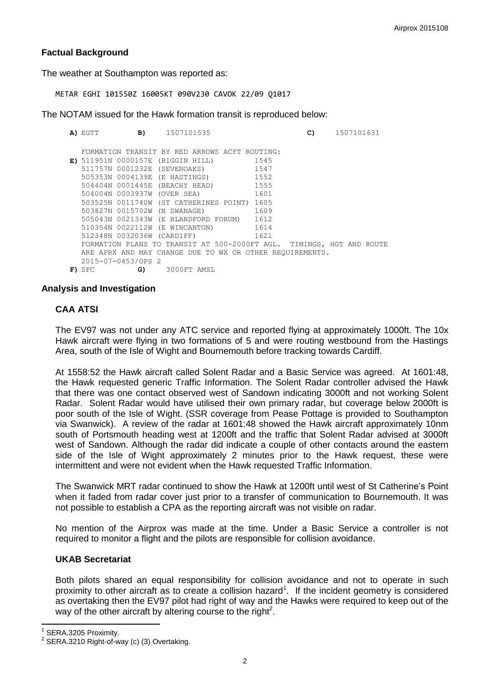# **Factual Background**

The weather at Southampton was reported as:

METAR EGHI 101550Z 16005KT 090V230 CAVOK 22/09 Q1017

The NOTAM issued for the Hawk formation transit is reproduced below:

**A)** EGTT **B)** 1507101535 **C)** 1507101631 **E)** 511951N 0000157E (BIGGIN HILL) 1545 FORMATION TRANSIT BY RED ARROWS ACFT ROUTING: 511757N 0001232E (SEVENOAKS) 1547<br>505353N 0004139E (E HASTINGS) 1552 505353N 0004139E (E HASTINGS) 1552<br>504404N 0001445E (BEACHY HEAD) 1555 504404N 0001445E (BEACHY HEAD) 504004N 0003937W (OVER SEA) 1601 503525N 0011740W (ST CATHERINES POINT) 1605 503827N 0015702W (N SWANAGE) 1609 505043N 0021343W (E BLANDFORD FORUM) 1612 510354N 0022112W (E WINCANTON) 1614 512348N 0032036W (CARDIFF) 1621 FORMATION PLANS TO TRANSIT AT 500-2000FT AGL. TIMINGS, HGT AND ROUTE ARE APRX AND MAY CHANGE DUE TO WX OR OTHER REQUIREMENTS. 2015-07-0453/OPS 2 **F)** SFC **G)** 3000FT AMSL

#### **Analysis and Investigation**

## **CAA ATSI**

The EV97 was not under any ATC service and reported flying at approximately 1000ft. The 10x Hawk aircraft were flying in two formations of 5 and were routing westbound from the Hastings Area, south of the Isle of Wight and Bournemouth before tracking towards Cardiff.

At 1558:52 the Hawk aircraft called Solent Radar and a Basic Service was agreed. At 1601:48, the Hawk requested generic Traffic Information. The Solent Radar controller advised the Hawk that there was one contact observed west of Sandown indicating 3000ft and not working Solent Radar. Solent Radar would have utilised their own primary radar, but coverage below 2000ft is poor south of the Isle of Wight. (SSR coverage from Pease Pottage is provided to Southampton via Swanwick). A review of the radar at 1601:48 showed the Hawk aircraft approximately 10nm south of Portsmouth heading west at 1200ft and the traffic that Solent Radar advised at 3000ft west of Sandown. Although the radar did indicate a couple of other contacts around the eastern side of the Isle of Wight approximately 2 minutes prior to the Hawk request, these were intermittent and were not evident when the Hawk requested Traffic Information.

The Swanwick MRT radar continued to show the Hawk at 1200ft until west of St Catherine's Point when it faded from radar cover just prior to a transfer of communication to Bournemouth. It was not possible to establish a CPA as the reporting aircraft was not visible on radar.

No mention of the Airprox was made at the time. Under a Basic Service a controller is not required to monitor a flight and the pilots are responsible for collision avoidance.

#### **UKAB Secretariat**

Both pilots shared an equal responsibility for collision avoidance and not to operate in such proximity to other aircraft as to create a collision hazard<sup>1</sup>. If the incident geometry is considered as overtaking then the EV97 pilot had right of way and the Hawks were required to keep out of the way of the other aircraft by altering course to the right<sup>2</sup>.

 $\overline{\phantom{a}}$ 1 SERA.3205 Proximity.

 $2$  SERA.3210 Right-of-way (c) (3) Overtaking.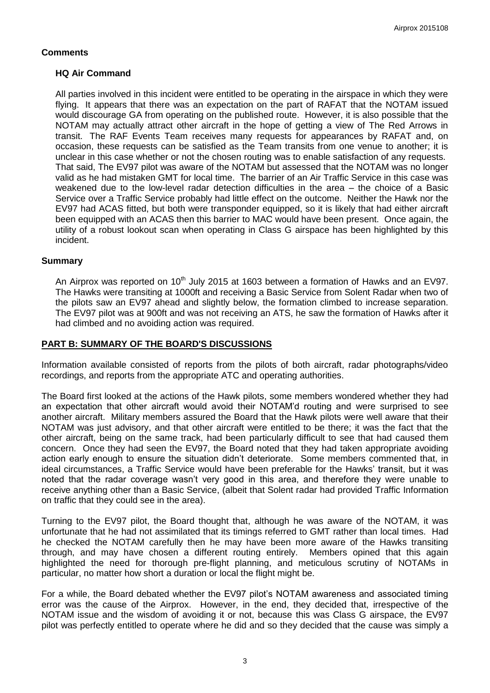## **Comments**

#### **HQ Air Command**

All parties involved in this incident were entitled to be operating in the airspace in which they were flying. It appears that there was an expectation on the part of RAFAT that the NOTAM issued would discourage GA from operating on the published route. However, it is also possible that the NOTAM may actually attract other aircraft in the hope of getting a view of The Red Arrows in transit. The RAF Events Team receives many requests for appearances by RAFAT and, on occasion, these requests can be satisfied as the Team transits from one venue to another; it is unclear in this case whether or not the chosen routing was to enable satisfaction of any requests. That said, The EV97 pilot was aware of the NOTAM but assessed that the NOTAM was no longer valid as he had mistaken GMT for local time. The barrier of an Air Traffic Service in this case was weakened due to the low-level radar detection difficulties in the area – the choice of a Basic Service over a Traffic Service probably had little effect on the outcome. Neither the Hawk nor the EV97 had ACAS fitted, but both were transponder equipped, so it is likely that had either aircraft been equipped with an ACAS then this barrier to MAC would have been present. Once again, the utility of a robust lookout scan when operating in Class G airspace has been highlighted by this incident.

#### **Summary**

An Airprox was reported on  $10<sup>th</sup>$  July 2015 at 1603 between a formation of Hawks and an EV97. The Hawks were transiting at 1000ft and receiving a Basic Service from Solent Radar when two of the pilots saw an EV97 ahead and slightly below, the formation climbed to increase separation. The EV97 pilot was at 900ft and was not receiving an ATS, he saw the formation of Hawks after it had climbed and no avoiding action was required.

### **PART B: SUMMARY OF THE BOARD'S DISCUSSIONS**

Information available consisted of reports from the pilots of both aircraft, radar photographs/video recordings, and reports from the appropriate ATC and operating authorities.

The Board first looked at the actions of the Hawk pilots, some members wondered whether they had an expectation that other aircraft would avoid their NOTAM'd routing and were surprised to see another aircraft. Military members assured the Board that the Hawk pilots were well aware that their NOTAM was just advisory, and that other aircraft were entitled to be there; it was the fact that the other aircraft, being on the same track, had been particularly difficult to see that had caused them concern. Once they had seen the EV97, the Board noted that they had taken appropriate avoiding action early enough to ensure the situation didn't deteriorate. Some members commented that, in ideal circumstances, a Traffic Service would have been preferable for the Hawks' transit, but it was noted that the radar coverage wasn't very good in this area, and therefore they were unable to receive anything other than a Basic Service, (albeit that Solent radar had provided Traffic Information on traffic that they could see in the area).

Turning to the EV97 pilot, the Board thought that, although he was aware of the NOTAM, it was unfortunate that he had not assimilated that its timings referred to GMT rather than local times. Had he checked the NOTAM carefully then he may have been more aware of the Hawks transiting through, and may have chosen a different routing entirely. Members opined that this again highlighted the need for thorough pre-flight planning, and meticulous scrutiny of NOTAMs in particular, no matter how short a duration or local the flight might be.

For a while, the Board debated whether the EV97 pilot's NOTAM awareness and associated timing error was the cause of the Airprox. However, in the end, they decided that, irrespective of the NOTAM issue and the wisdom of avoiding it or not, because this was Class G airspace, the EV97 pilot was perfectly entitled to operate where he did and so they decided that the cause was simply a